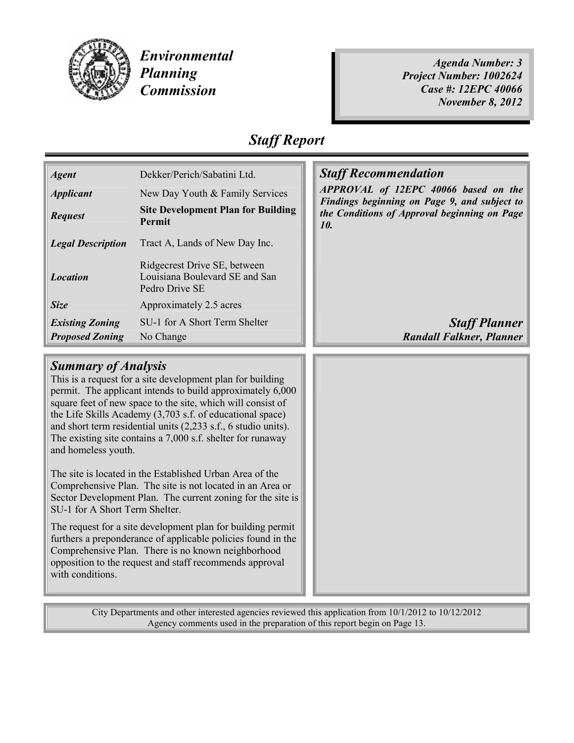

Environmental Planning Commission

Agenda Number: 3 Project Number: 1002624 Case #: 12EPC 40066 November 8, 2012

## Staff Report

| <b>Agent</b>             | Dekker/Perich/Sabatini Ltd.                                                      |  |
|--------------------------|----------------------------------------------------------------------------------|--|
| <b>Applicant</b>         | New Day Youth & Family Services                                                  |  |
| <b>Request</b>           | <b>Site Development Plan for Building</b><br><b>Permit</b>                       |  |
| <b>Legal Description</b> | Tract A, Lands of New Day Inc.                                                   |  |
| <b>Location</b>          | Ridgecrest Drive SE, between<br>Louisiana Boulevard SE and San<br>Pedro Drive SE |  |
| Size                     | Approximately 2.5 acres                                                          |  |
| <b>Existing Zoning</b>   | SU-1 for A Short Term Shelter                                                    |  |
| <b>Proposed Zoning</b>   | No Change                                                                        |  |

### **Staff Recommendation**

APPROVAL of 12EPC 40066 based on the Findings beginning on Page 9, and subject to the Conditions of Approval beginning on Page 10.

> **Staff Planner Randall Falkner, Planner**

#### Summary of Analysis

This is a request for a site development plan for building permit. The applicant intends to build approximately 6,000 square feet of new space to the site, which will consist of the Life Skills Academy (3,703 s.f. of educational space) and short term residential units (2,233 s.f., 6 studio units). The existing site contains a 7,000 s.f. shelter for runaway and homeless youth.

The site is located in the Established Urban Area of the Comprehensive Plan. The site is not located in an Area or Sector Development Plan. The current zoning for the site is SU-1 for A Short Term Shelter.

The request for a site development plan for building permit furthers a preponderance of applicable policies found in the Comprehensive Plan. There is no known neighborhood opposition to the request and staff recommends approval with conditions.

City Departments and other interested agencies reviewed this application from 10/1/2012 to 10/12/2012 Agency comments used in the preparation of this report begin on Page 13.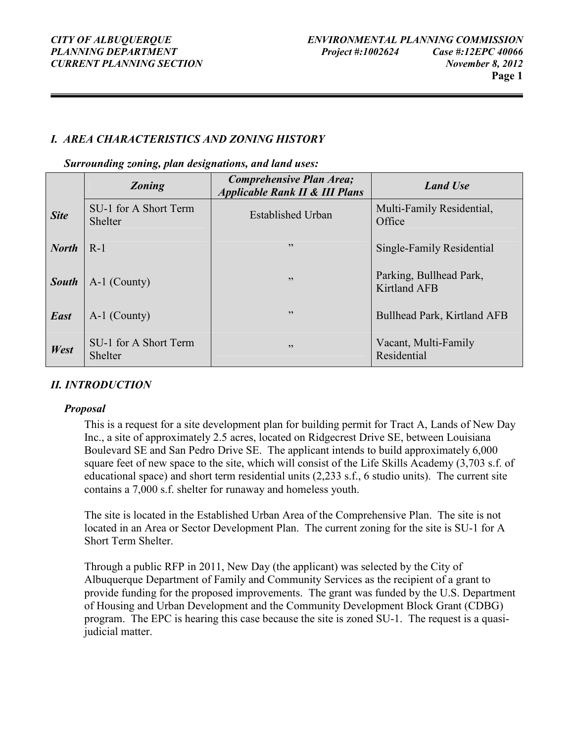#### I. AREA CHARACTERISTICS AND ZONING HISTORY

Surrounding zoning, plan designations, and land uses:

|              | <b>Zoning</b>                    | Comprehensive Plan Area;<br><b>Applicable Rank II &amp; III Plans</b> | <b>Land Use</b>                                |
|--------------|----------------------------------|-----------------------------------------------------------------------|------------------------------------------------|
| <b>Site</b>  | SU-1 for A Short Term<br>Shelter | <b>Established Urban</b>                                              | Multi-Family Residential,<br>Office            |
| <b>North</b> | $R-1$                            | , 2, 3                                                                | Single-Family Residential                      |
| <b>South</b> | A-1 (County)                     | 22                                                                    | Parking, Bullhead Park,<br><b>Kirtland AFB</b> |
| <b>East</b>  | A-1 (County)                     | , 2, 3                                                                | Bullhead Park, Kirtland AFB                    |
| West         | SU-1 for A Short Term<br>Shelter | 22                                                                    | Vacant, Multi-Family<br>Residential            |

#### II. INTRODUCTION

#### Proposal

This is a request for a site development plan for building permit for Tract A, Lands of New Day Inc., a site of approximately 2.5 acres, located on Ridgecrest Drive SE, between Louisiana Boulevard SE and San Pedro Drive SE. The applicant intends to build approximately 6,000 square feet of new space to the site, which will consist of the Life Skills Academy (3,703 s.f. of educational space) and short term residential units (2,233 s.f., 6 studio units). The current site contains a 7,000 s.f. shelter for runaway and homeless youth.

The site is located in the Established Urban Area of the Comprehensive Plan. The site is not located in an Area or Sector Development Plan. The current zoning for the site is SU-1 for A Short Term Shelter.

Through a public RFP in 2011, New Day (the applicant) was selected by the City of Albuquerque Department of Family and Community Services as the recipient of a grant to provide funding for the proposed improvements. The grant was funded by the U.S. Department of Housing and Urban Development and the Community Development Block Grant (CDBG) program. The EPC is hearing this case because the site is zoned SU-1. The request is a quasijudicial matter.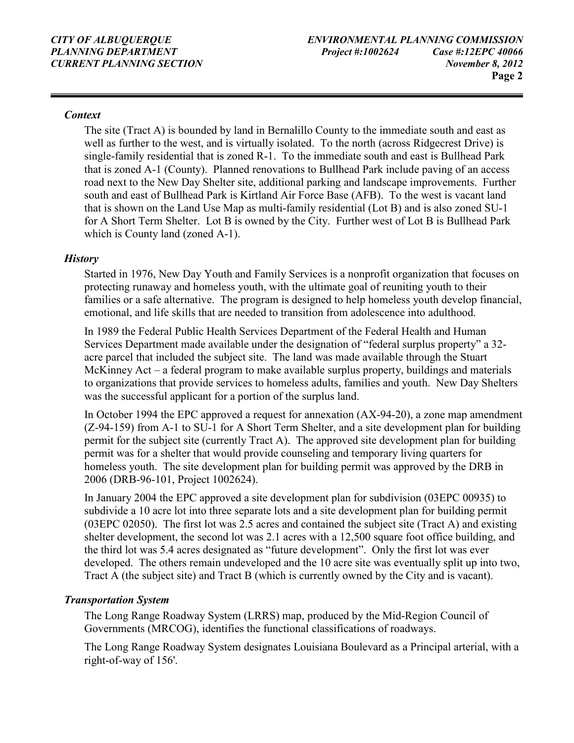#### **Context**

The site (Tract A) is bounded by land in Bernalillo County to the immediate south and east as well as further to the west, and is virtually isolated. To the north (across Ridgecrest Drive) is single-family residential that is zoned R-1. To the immediate south and east is Bullhead Park that is zoned A-1 (County). Planned renovations to Bullhead Park include paving of an access road next to the New Day Shelter site, additional parking and landscape improvements. Further south and east of Bullhead Park is Kirtland Air Force Base (AFB). To the west is vacant land that is shown on the Land Use Map as multi-family residential (Lot B) and is also zoned SU-1 for A Short Term Shelter. Lot B is owned by the City. Further west of Lot B is Bullhead Park which is County land (zoned A-1).

#### **History**

Started in 1976, New Day Youth and Family Services is a nonprofit organization that focuses on protecting runaway and homeless youth, with the ultimate goal of reuniting youth to their families or a safe alternative. The program is designed to help homeless youth develop financial, emotional, and life skills that are needed to transition from adolescence into adulthood.

In 1989 the Federal Public Health Services Department of the Federal Health and Human Services Department made available under the designation of "federal surplus property" a 32 acre parcel that included the subject site. The land was made available through the Stuart McKinney Act – a federal program to make available surplus property, buildings and materials to organizations that provide services to homeless adults, families and youth. New Day Shelters was the successful applicant for a portion of the surplus land.

In October 1994 the EPC approved a request for annexation (AX-94-20), a zone map amendment (Z-94-159) from A-1 to SU-1 for A Short Term Shelter, and a site development plan for building permit for the subject site (currently Tract A). The approved site development plan for building permit was for a shelter that would provide counseling and temporary living quarters for homeless youth. The site development plan for building permit was approved by the DRB in 2006 (DRB-96-101, Project 1002624).

In January 2004 the EPC approved a site development plan for subdivision (03EPC 00935) to subdivide a 10 acre lot into three separate lots and a site development plan for building permit (03EPC 02050). The first lot was 2.5 acres and contained the subject site (Tract A) and existing shelter development, the second lot was 2.1 acres with a 12,500 square foot office building, and the third lot was 5.4 acres designated as "future development". Only the first lot was ever developed. The others remain undeveloped and the 10 acre site was eventually split up into two, Tract A (the subject site) and Tract B (which is currently owned by the City and is vacant).

#### Transportation System

The Long Range Roadway System (LRRS) map, produced by the Mid-Region Council of Governments (MRCOG), identifies the functional classifications of roadways.

The Long Range Roadway System designates Louisiana Boulevard as a Principal arterial, with a right-of-way of 156'.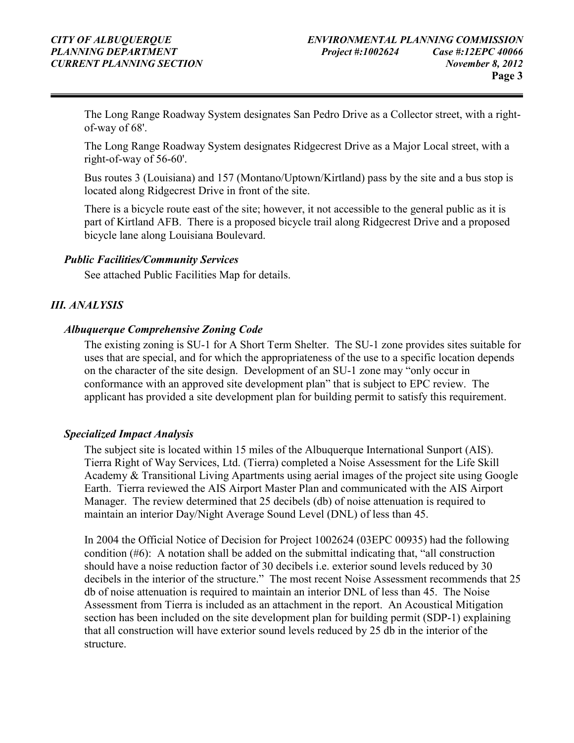The Long Range Roadway System designates San Pedro Drive as a Collector street, with a rightof-way of 68'.

The Long Range Roadway System designates Ridgecrest Drive as a Major Local street, with a right-of-way of 56-60'.

Bus routes 3 (Louisiana) and 157 (Montano/Uptown/Kirtland) pass by the site and a bus stop is located along Ridgecrest Drive in front of the site.

There is a bicycle route east of the site; however, it not accessible to the general public as it is part of Kirtland AFB. There is a proposed bicycle trail along Ridgecrest Drive and a proposed bicycle lane along Louisiana Boulevard.

#### Public Facilities/Community Services

See attached Public Facilities Map for details.

#### III. ANALYSIS

#### Albuquerque Comprehensive Zoning Code

The existing zoning is SU-1 for A Short Term Shelter. The SU-1 zone provides sites suitable for uses that are special, and for which the appropriateness of the use to a specific location depends on the character of the site design. Development of an SU-1 zone may "only occur in conformance with an approved site development plan" that is subject to EPC review. The applicant has provided a site development plan for building permit to satisfy this requirement.

#### Specialized Impact Analysis

The subject site is located within 15 miles of the Albuquerque International Sunport (AIS). Tierra Right of Way Services, Ltd. (Tierra) completed a Noise Assessment for the Life Skill Academy & Transitional Living Apartments using aerial images of the project site using Google Earth. Tierra reviewed the AIS Airport Master Plan and communicated with the AIS Airport Manager. The review determined that 25 decibels (db) of noise attenuation is required to maintain an interior Day/Night Average Sound Level (DNL) of less than 45.

In 2004 the Official Notice of Decision for Project 1002624 (03EPC 00935) had the following condition (#6): A notation shall be added on the submittal indicating that, "all construction should have a noise reduction factor of 30 decibels i.e. exterior sound levels reduced by 30 decibels in the interior of the structure." The most recent Noise Assessment recommends that 25 db of noise attenuation is required to maintain an interior DNL of less than 45. The Noise Assessment from Tierra is included as an attachment in the report. An Acoustical Mitigation section has been included on the site development plan for building permit (SDP-1) explaining that all construction will have exterior sound levels reduced by 25 db in the interior of the structure.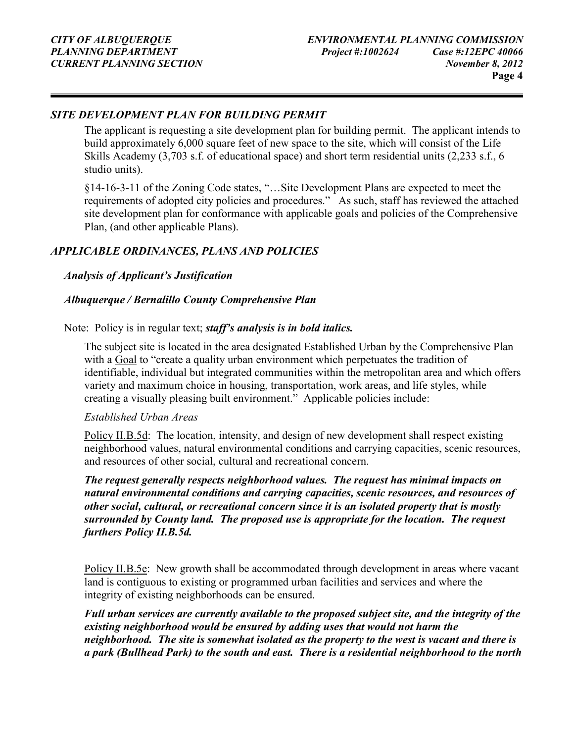#### SITE DEVELOPMENT PLAN FOR BUILDING PERMIT

The applicant is requesting a site development plan for building permit. The applicant intends to build approximately 6,000 square feet of new space to the site, which will consist of the Life Skills Academy (3,703 s.f. of educational space) and short term residential units (2,233 s.f., 6 studio units).

§14-16-3-11 of the Zoning Code states, "…Site Development Plans are expected to meet the requirements of adopted city policies and procedures." As such, staff has reviewed the attached site development plan for conformance with applicable goals and policies of the Comprehensive Plan, (and other applicable Plans).

#### APPLICABLE ORDINANCES, PLANS AND POLICIES

#### Analysis of Applicant's Justification

#### Albuquerque / Bernalillo County Comprehensive Plan

Note: Policy is in regular text; staff's analysis is in bold italics.

The subject site is located in the area designated Established Urban by the Comprehensive Plan with a Goal to "create a quality urban environment which perpetuates the tradition of identifiable, individual but integrated communities within the metropolitan area and which offers variety and maximum choice in housing, transportation, work areas, and life styles, while creating a visually pleasing built environment." Applicable policies include:

#### Established Urban Areas

Policy II.B.5d: The location, intensity, and design of new development shall respect existing neighborhood values, natural environmental conditions and carrying capacities, scenic resources, and resources of other social, cultural and recreational concern.

The request generally respects neighborhood values. The request has minimal impacts on natural environmental conditions and carrying capacities, scenic resources, and resources of other social, cultural, or recreational concern since it is an isolated property that is mostly surrounded by County land. The proposed use is appropriate for the location. The request furthers Policy II.B.5d.

Policy II.B.5e: New growth shall be accommodated through development in areas where vacant land is contiguous to existing or programmed urban facilities and services and where the integrity of existing neighborhoods can be ensured.

Full urban services are currently available to the proposed subject site, and the integrity of the existing neighborhood would be ensured by adding uses that would not harm the neighborhood. The site is somewhat isolated as the property to the west is vacant and there is a park (Bullhead Park) to the south and east. There is a residential neighborhood to the north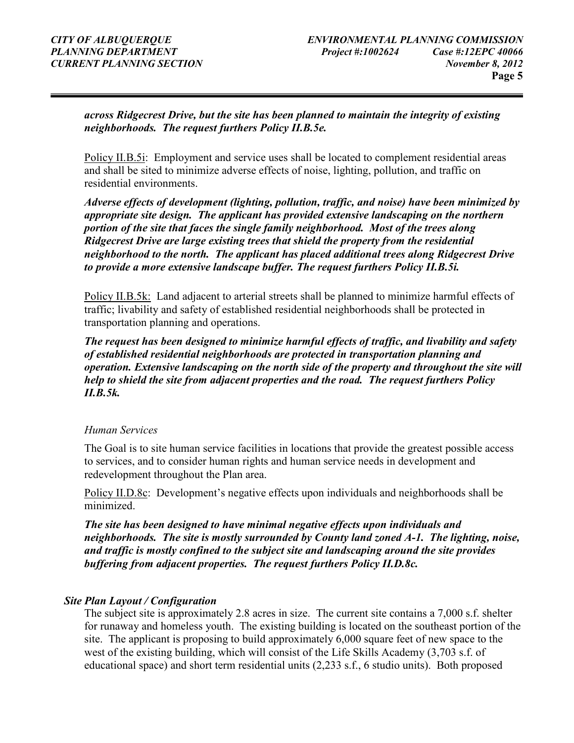across Ridgecrest Drive, but the site has been planned to maintain the integrity of existing neighborhoods. The request furthers Policy II.B.5e.

Policy II.B.5i: Employment and service uses shall be located to complement residential areas and shall be sited to minimize adverse effects of noise, lighting, pollution, and traffic on residential environments.

Adverse effects of development (lighting, pollution, traffic, and noise) have been minimized by appropriate site design. The applicant has provided extensive landscaping on the northern portion of the site that faces the single family neighborhood. Most of the trees along Ridgecrest Drive are large existing trees that shield the property from the residential neighborhood to the north. The applicant has placed additional trees along Ridgecrest Drive to provide a more extensive landscape buffer. The request furthers Policy II.B.5i.

Policy II.B.5k: Land adjacent to arterial streets shall be planned to minimize harmful effects of traffic; livability and safety of established residential neighborhoods shall be protected in transportation planning and operations.

The request has been designed to minimize harmful effects of traffic, and livability and safety of established residential neighborhoods are protected in transportation planning and operation. Extensive landscaping on the north side of the property and throughout the site will help to shield the site from adjacent properties and the road. The request furthers Policy II.B.5k.

#### Human Services

The Goal is to site human service facilities in locations that provide the greatest possible access to services, and to consider human rights and human service needs in development and redevelopment throughout the Plan area.

Policy II.D.8c: Development's negative effects upon individuals and neighborhoods shall be minimized.

The site has been designed to have minimal negative effects upon individuals and neighborhoods. The site is mostly surrounded by County land zoned A-1. The lighting, noise, and traffic is mostly confined to the subject site and landscaping around the site provides buffering from adjacent properties. The request furthers Policy II.D.8c.

#### Site Plan Layout / Configuration

The subject site is approximately 2.8 acres in size. The current site contains a 7,000 s.f. shelter for runaway and homeless youth. The existing building is located on the southeast portion of the site. The applicant is proposing to build approximately 6,000 square feet of new space to the west of the existing building, which will consist of the Life Skills Academy (3,703 s.f. of educational space) and short term residential units (2,233 s.f., 6 studio units). Both proposed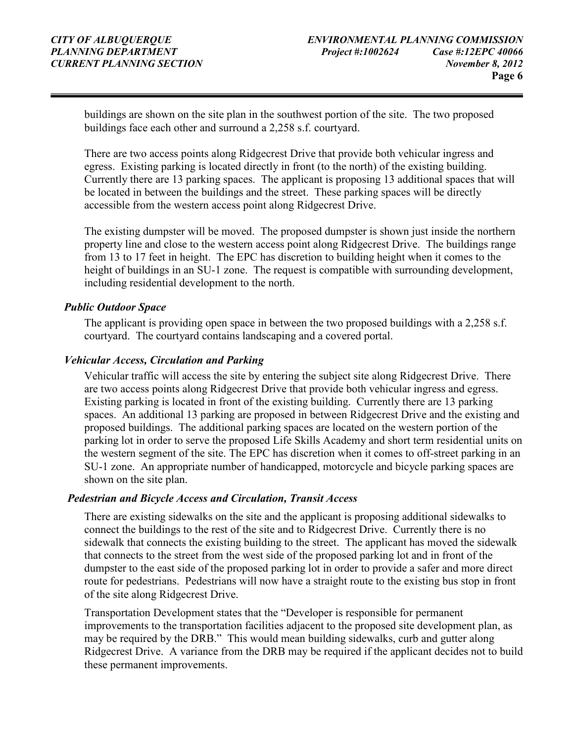buildings are shown on the site plan in the southwest portion of the site. The two proposed buildings face each other and surround a 2,258 s.f. courtyard.

There are two access points along Ridgecrest Drive that provide both vehicular ingress and egress. Existing parking is located directly in front (to the north) of the existing building. Currently there are 13 parking spaces. The applicant is proposing 13 additional spaces that will be located in between the buildings and the street. These parking spaces will be directly accessible from the western access point along Ridgecrest Drive.

The existing dumpster will be moved. The proposed dumpster is shown just inside the northern property line and close to the western access point along Ridgecrest Drive. The buildings range from 13 to 17 feet in height. The EPC has discretion to building height when it comes to the height of buildings in an SU-1 zone. The request is compatible with surrounding development, including residential development to the north.

#### Public Outdoor Space

The applicant is providing open space in between the two proposed buildings with a 2,258 s.f. courtyard. The courtyard contains landscaping and a covered portal.

#### Vehicular Access, Circulation and Parking

Vehicular traffic will access the site by entering the subject site along Ridgecrest Drive. There are two access points along Ridgecrest Drive that provide both vehicular ingress and egress. Existing parking is located in front of the existing building. Currently there are 13 parking spaces. An additional 13 parking are proposed in between Ridgecrest Drive and the existing and proposed buildings. The additional parking spaces are located on the western portion of the parking lot in order to serve the proposed Life Skills Academy and short term residential units on the western segment of the site. The EPC has discretion when it comes to off-street parking in an SU-1 zone. An appropriate number of handicapped, motorcycle and bicycle parking spaces are shown on the site plan.

#### Pedestrian and Bicycle Access and Circulation, Transit Access

There are existing sidewalks on the site and the applicant is proposing additional sidewalks to connect the buildings to the rest of the site and to Ridgecrest Drive. Currently there is no sidewalk that connects the existing building to the street. The applicant has moved the sidewalk that connects to the street from the west side of the proposed parking lot and in front of the dumpster to the east side of the proposed parking lot in order to provide a safer and more direct route for pedestrians. Pedestrians will now have a straight route to the existing bus stop in front of the site along Ridgecrest Drive.

Transportation Development states that the "Developer is responsible for permanent improvements to the transportation facilities adjacent to the proposed site development plan, as may be required by the DRB." This would mean building sidewalks, curb and gutter along Ridgecrest Drive. A variance from the DRB may be required if the applicant decides not to build these permanent improvements.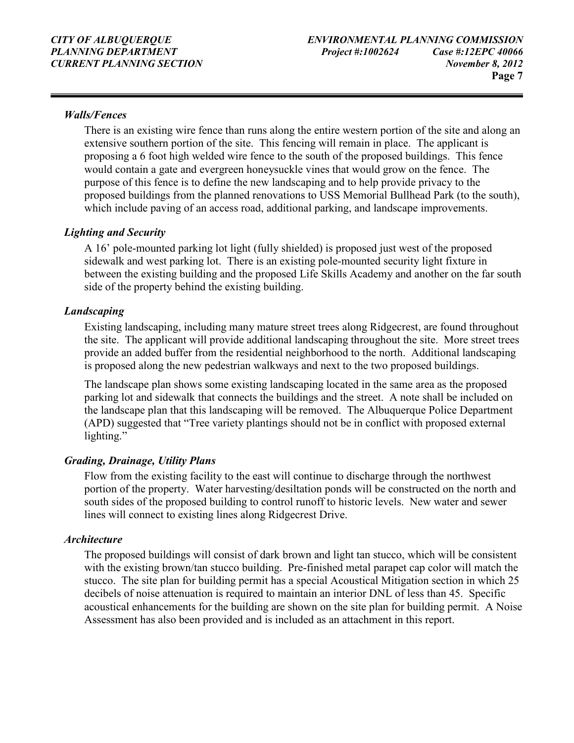#### Walls/Fences

There is an existing wire fence than runs along the entire western portion of the site and along an extensive southern portion of the site. This fencing will remain in place. The applicant is proposing a 6 foot high welded wire fence to the south of the proposed buildings. This fence would contain a gate and evergreen honeysuckle vines that would grow on the fence. The purpose of this fence is to define the new landscaping and to help provide privacy to the proposed buildings from the planned renovations to USS Memorial Bullhead Park (to the south), which include paving of an access road, additional parking, and landscape improvements.

#### Lighting and Security

A 16' pole-mounted parking lot light (fully shielded) is proposed just west of the proposed sidewalk and west parking lot. There is an existing pole-mounted security light fixture in between the existing building and the proposed Life Skills Academy and another on the far south side of the property behind the existing building.

#### Landscaping

Existing landscaping, including many mature street trees along Ridgecrest, are found throughout the site. The applicant will provide additional landscaping throughout the site. More street trees provide an added buffer from the residential neighborhood to the north. Additional landscaping is proposed along the new pedestrian walkways and next to the two proposed buildings.

The landscape plan shows some existing landscaping located in the same area as the proposed parking lot and sidewalk that connects the buildings and the street. A note shall be included on the landscape plan that this landscaping will be removed. The Albuquerque Police Department (APD) suggested that "Tree variety plantings should not be in conflict with proposed external lighting."

#### Grading, Drainage, Utility Plans

Flow from the existing facility to the east will continue to discharge through the northwest portion of the property. Water harvesting/desiltation ponds will be constructed on the north and south sides of the proposed building to control runoff to historic levels. New water and sewer lines will connect to existing lines along Ridgecrest Drive.

#### **Architecture**

The proposed buildings will consist of dark brown and light tan stucco, which will be consistent with the existing brown/tan stucco building. Pre-finished metal parapet cap color will match the stucco. The site plan for building permit has a special Acoustical Mitigation section in which 25 decibels of noise attenuation is required to maintain an interior DNL of less than 45. Specific acoustical enhancements for the building are shown on the site plan for building permit. A Noise Assessment has also been provided and is included as an attachment in this report.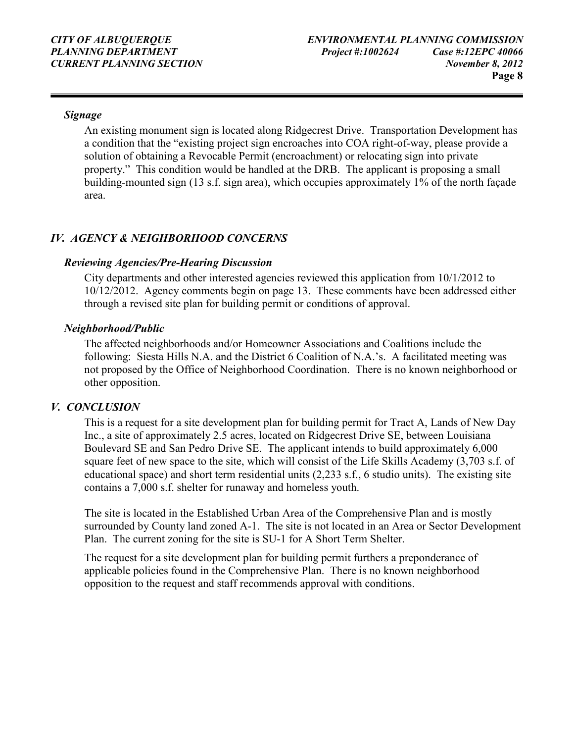#### Signage

An existing monument sign is located along Ridgecrest Drive. Transportation Development has a condition that the "existing project sign encroaches into COA right-of-way, please provide a solution of obtaining a Revocable Permit (encroachment) or relocating sign into private property." This condition would be handled at the DRB. The applicant is proposing a small building-mounted sign (13 s.f. sign area), which occupies approximately 1% of the north façade area.

#### IV. AGENCY & NEIGHBORHOOD CONCERNS

#### Reviewing Agencies/Pre-Hearing Discussion

City departments and other interested agencies reviewed this application from 10/1/2012 to 10/12/2012. Agency comments begin on page 13. These comments have been addressed either through a revised site plan for building permit or conditions of approval.

#### Neighborhood/Public

The affected neighborhoods and/or Homeowner Associations and Coalitions include the following: Siesta Hills N.A. and the District 6 Coalition of N.A.'s. A facilitated meeting was not proposed by the Office of Neighborhood Coordination. There is no known neighborhood or other opposition.

#### V. CONCLUSION

This is a request for a site development plan for building permit for Tract A, Lands of New Day Inc., a site of approximately 2.5 acres, located on Ridgecrest Drive SE, between Louisiana Boulevard SE and San Pedro Drive SE. The applicant intends to build approximately 6,000 square feet of new space to the site, which will consist of the Life Skills Academy (3,703 s.f. of educational space) and short term residential units (2,233 s.f., 6 studio units). The existing site contains a 7,000 s.f. shelter for runaway and homeless youth.

The site is located in the Established Urban Area of the Comprehensive Plan and is mostly surrounded by County land zoned A-1. The site is not located in an Area or Sector Development Plan. The current zoning for the site is SU-1 for A Short Term Shelter.

The request for a site development plan for building permit furthers a preponderance of applicable policies found in the Comprehensive Plan. There is no known neighborhood opposition to the request and staff recommends approval with conditions.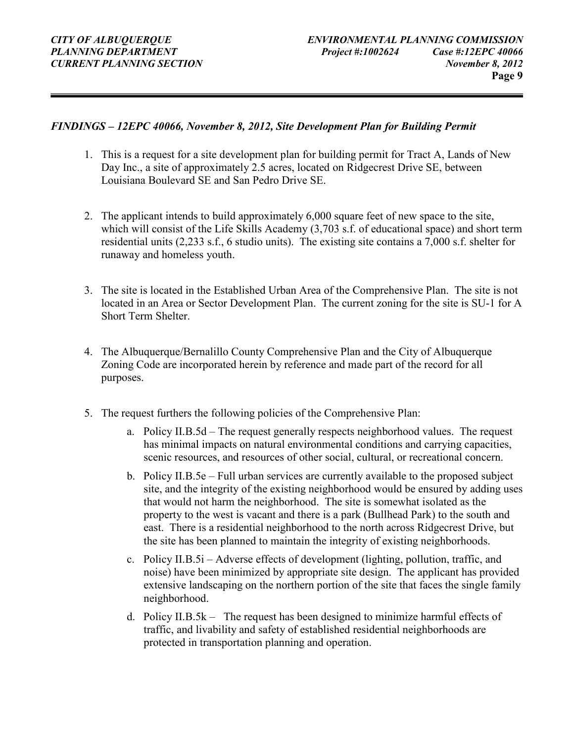#### FINDINGS – 12EPC 40066, November 8, 2012, Site Development Plan for Building Permit

- 1. This is a request for a site development plan for building permit for Tract A, Lands of New Day Inc., a site of approximately 2.5 acres, located on Ridgecrest Drive SE, between Louisiana Boulevard SE and San Pedro Drive SE.
- 2. The applicant intends to build approximately 6,000 square feet of new space to the site, which will consist of the Life Skills Academy (3,703 s.f. of educational space) and short term residential units (2,233 s.f., 6 studio units). The existing site contains a 7,000 s.f. shelter for runaway and homeless youth.
- 3. The site is located in the Established Urban Area of the Comprehensive Plan. The site is not located in an Area or Sector Development Plan. The current zoning for the site is SU-1 for A Short Term Shelter.
- 4. The Albuquerque/Bernalillo County Comprehensive Plan and the City of Albuquerque Zoning Code are incorporated herein by reference and made part of the record for all purposes.
- 5. The request furthers the following policies of the Comprehensive Plan:
	- a. Policy II.B.5d The request generally respects neighborhood values. The request has minimal impacts on natural environmental conditions and carrying capacities, scenic resources, and resources of other social, cultural, or recreational concern.
	- b. Policy II.B.5e Full urban services are currently available to the proposed subject site, and the integrity of the existing neighborhood would be ensured by adding uses that would not harm the neighborhood. The site is somewhat isolated as the property to the west is vacant and there is a park (Bullhead Park) to the south and east. There is a residential neighborhood to the north across Ridgecrest Drive, but the site has been planned to maintain the integrity of existing neighborhoods.
	- c. Policy II.B.5i Adverse effects of development (lighting, pollution, traffic, and noise) have been minimized by appropriate site design. The applicant has provided extensive landscaping on the northern portion of the site that faces the single family neighborhood.
	- d. Policy II.B.5k The request has been designed to minimize harmful effects of traffic, and livability and safety of established residential neighborhoods are protected in transportation planning and operation.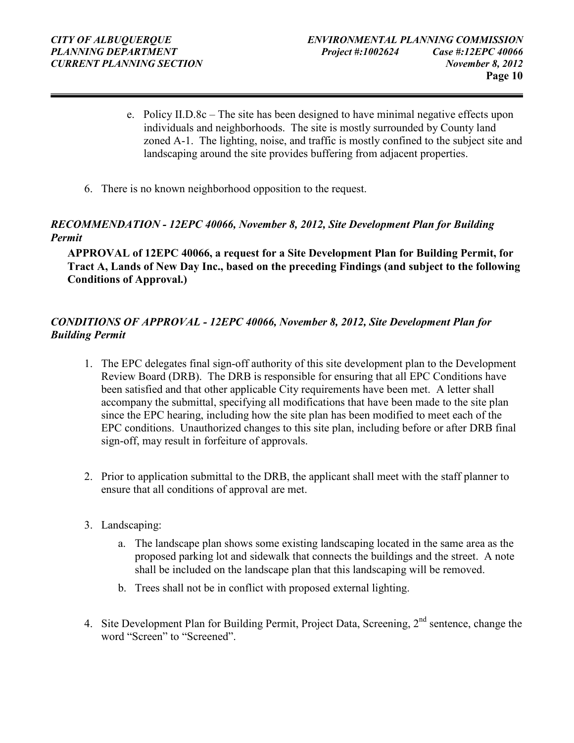- e. Policy II.D.8c The site has been designed to have minimal negative effects upon individuals and neighborhoods. The site is mostly surrounded by County land zoned A-1. The lighting, noise, and traffic is mostly confined to the subject site and landscaping around the site provides buffering from adjacent properties.
- 6. There is no known neighborhood opposition to the request.

#### RECOMMENDATION - 12EPC 40066, November 8, 2012, Site Development Plan for Building Permit

APPROVAL of 12EPC 40066, a request for a Site Development Plan for Building Permit, for Tract A, Lands of New Day Inc., based on the preceding Findings (and subject to the following Conditions of Approval.)

#### CONDITIONS OF APPROVAL - 12EPC 40066, November 8, 2012, Site Development Plan for Building Permit

- 1. The EPC delegates final sign-off authority of this site development plan to the Development Review Board (DRB). The DRB is responsible for ensuring that all EPC Conditions have been satisfied and that other applicable City requirements have been met. A letter shall accompany the submittal, specifying all modifications that have been made to the site plan since the EPC hearing, including how the site plan has been modified to meet each of the EPC conditions. Unauthorized changes to this site plan, including before or after DRB final sign-off, may result in forfeiture of approvals.
- 2. Prior to application submittal to the DRB, the applicant shall meet with the staff planner to ensure that all conditions of approval are met.
- 3. Landscaping:
	- a. The landscape plan shows some existing landscaping located in the same area as the proposed parking lot and sidewalk that connects the buildings and the street. A note shall be included on the landscape plan that this landscaping will be removed.
	- b. Trees shall not be in conflict with proposed external lighting.
- 4. Site Development Plan for Building Permit, Project Data, Screening,  $2<sup>nd</sup>$  sentence, change the word "Screen" to "Screened".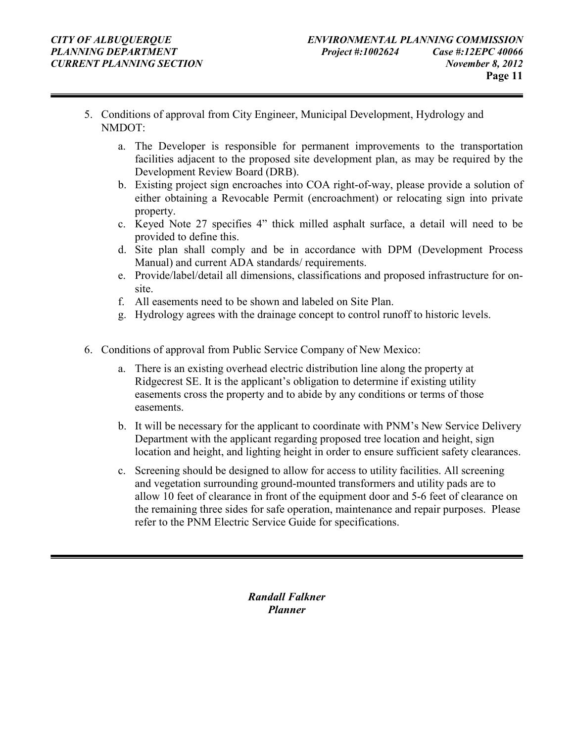- 5. Conditions of approval from City Engineer, Municipal Development, Hydrology and NMDOT:
	- a. The Developer is responsible for permanent improvements to the transportation facilities adjacent to the proposed site development plan, as may be required by the Development Review Board (DRB).
	- b. Existing project sign encroaches into COA right-of-way, please provide a solution of either obtaining a Revocable Permit (encroachment) or relocating sign into private property.
	- c. Keyed Note 27 specifies 4" thick milled asphalt surface, a detail will need to be provided to define this.
	- d. Site plan shall comply and be in accordance with DPM (Development Process Manual) and current ADA standards/ requirements.
	- e. Provide/label/detail all dimensions, classifications and proposed infrastructure for onsite.
	- f. All easements need to be shown and labeled on Site Plan.
	- g. Hydrology agrees with the drainage concept to control runoff to historic levels.
- 6. Conditions of approval from Public Service Company of New Mexico:
	- a. There is an existing overhead electric distribution line along the property at Ridgecrest SE. It is the applicant's obligation to determine if existing utility easements cross the property and to abide by any conditions or terms of those easements.
	- b. It will be necessary for the applicant to coordinate with PNM's New Service Delivery Department with the applicant regarding proposed tree location and height, sign location and height, and lighting height in order to ensure sufficient safety clearances.
	- c. Screening should be designed to allow for access to utility facilities. All screening and vegetation surrounding ground-mounted transformers and utility pads are to allow 10 feet of clearance in front of the equipment door and 5-6 feet of clearance on the remaining three sides for safe operation, maintenance and repair purposes. Please refer to the PNM Electric Service Guide for specifications.

Randall Falkner Planner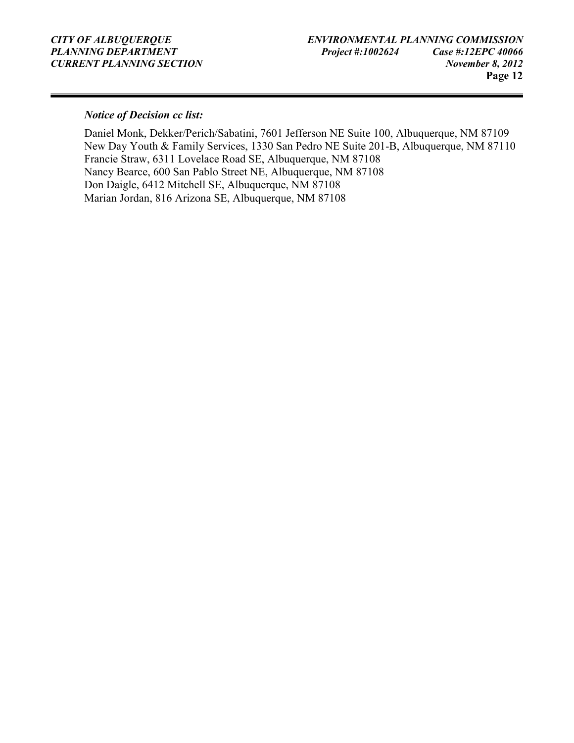#### Notice of Decision cc list:

Daniel Monk, Dekker/Perich/Sabatini, 7601 Jefferson NE Suite 100, Albuquerque, NM 87109 New Day Youth & Family Services, 1330 San Pedro NE Suite 201-B, Albuquerque, NM 87110 Francie Straw, 6311 Lovelace Road SE, Albuquerque, NM 87108 Nancy Bearce, 600 San Pablo Street NE, Albuquerque, NM 87108 Don Daigle, 6412 Mitchell SE, Albuquerque, NM 87108 Marian Jordan, 816 Arizona SE, Albuquerque, NM 87108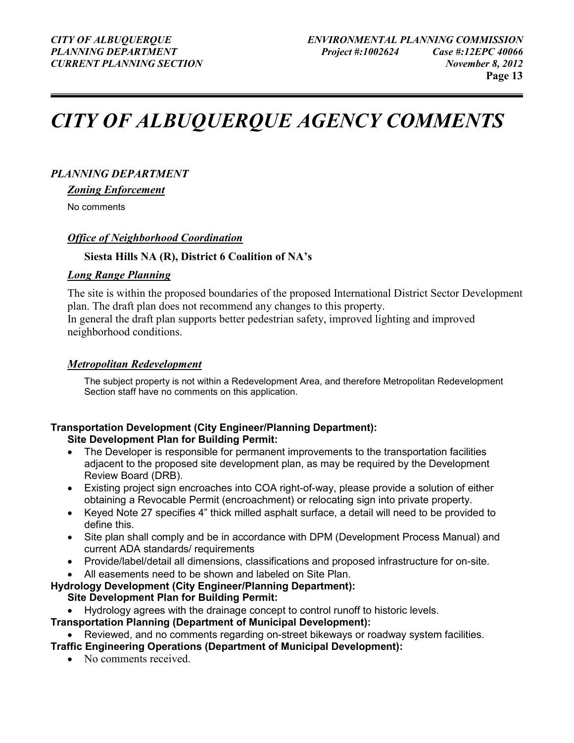# CITY OF ALBUQUERQUE AGENCY COMMENTS

#### PLANNING DEPARTMENT

Zoning Enforcement

No comments

#### Office of Neighborhood Coordination

#### Siesta Hills NA (R), District 6 Coalition of NA's

#### Long Range Planning

The site is within the proposed boundaries of the proposed International District Sector Development plan. The draft plan does not recommend any changes to this property.

In general the draft plan supports better pedestrian safety, improved lighting and improved neighborhood conditions.

#### Metropolitan Redevelopment

The subject property is not within a Redevelopment Area, and therefore Metropolitan Redevelopment Section staff have no comments on this application.

### Transportation Development (City Engineer/Planning Department):

#### Site Development Plan for Building Permit:

- The Developer is responsible for permanent improvements to the transportation facilities adjacent to the proposed site development plan, as may be required by the Development Review Board (DRB).
- Existing project sign encroaches into COA right-of-way, please provide a solution of either obtaining a Revocable Permit (encroachment) or relocating sign into private property.
- Keyed Note 27 specifies 4" thick milled asphalt surface, a detail will need to be provided to define this.
- Site plan shall comply and be in accordance with DPM (Development Process Manual) and current ADA standards/ requirements
- Provide/label/detail all dimensions, classifications and proposed infrastructure for on-site.
- All easements need to be shown and labeled on Site Plan.
- Hydrology Development (City Engineer/Planning Department): Site Development Plan for Building Permit:
	- Hydrology agrees with the drainage concept to control runoff to historic levels.

Transportation Planning (Department of Municipal Development):

• Reviewed, and no comments regarding on-street bikeways or roadway system facilities.

- Traffic Engineering Operations (Department of Municipal Development):
	- No comments received.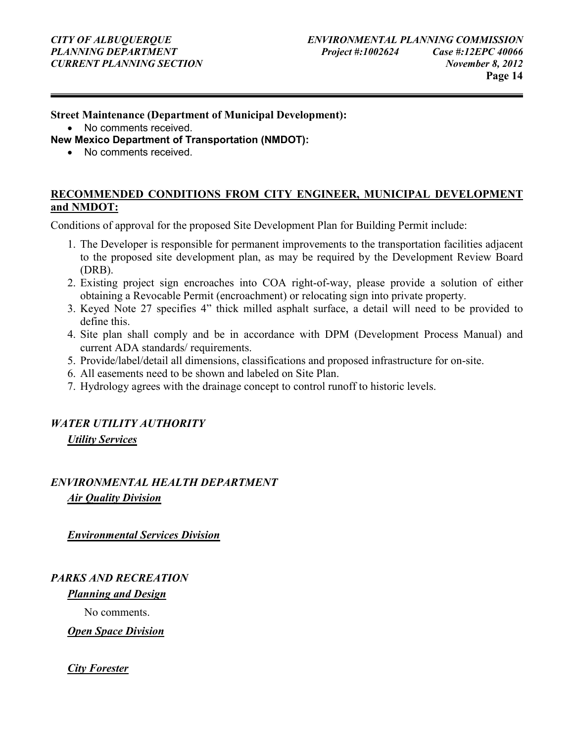#### Street Maintenance (Department of Municipal Development):

• No comments received.

New Mexico Department of Transportation (NMDOT):

• No comments received

#### RECOMMENDED CONDITIONS FROM CITY ENGINEER, MUNICIPAL DEVELOPMENT and NMDOT:

Conditions of approval for the proposed Site Development Plan for Building Permit include:

- 1. The Developer is responsible for permanent improvements to the transportation facilities adjacent to the proposed site development plan, as may be required by the Development Review Board (DRB).
- 2. Existing project sign encroaches into COA right-of-way, please provide a solution of either obtaining a Revocable Permit (encroachment) or relocating sign into private property.
- 3. Keyed Note 27 specifies 4" thick milled asphalt surface, a detail will need to be provided to define this.
- 4. Site plan shall comply and be in accordance with DPM (Development Process Manual) and current ADA standards/ requirements.
- 5. Provide/label/detail all dimensions, classifications and proposed infrastructure for on-site.
- 6. All easements need to be shown and labeled on Site Plan.
- 7. Hydrology agrees with the drainage concept to control runoff to historic levels.

#### WATER UTILITY AUTHORITY

Utility Services

#### ENVIRONMENTAL HEALTH DEPARTMENT Air Quality Division

Environmental Services Division

#### PARKS AND RECREATION

Planning and Design

No comments.

**Open Space Division** 

#### City Forester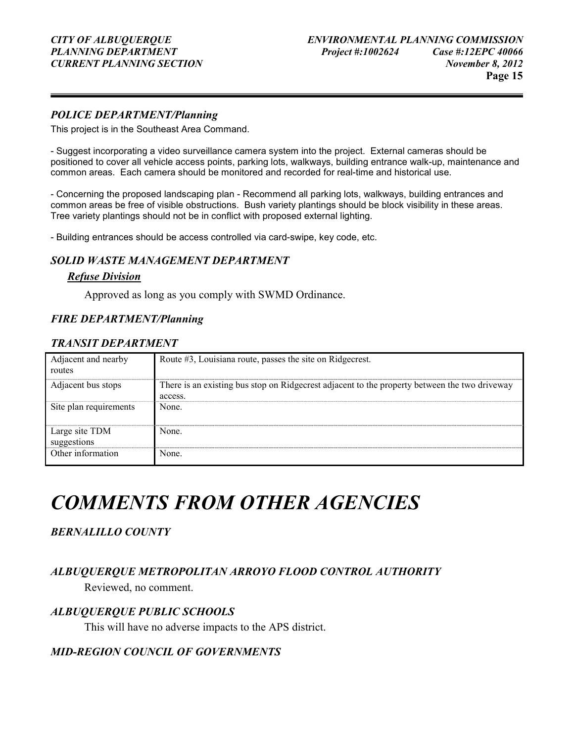#### POLICE DEPARTMENT/Planning

This project is in the Southeast Area Command.

- Suggest incorporating a video surveillance camera system into the project. External cameras should be positioned to cover all vehicle access points, parking lots, walkways, building entrance walk-up, maintenance and common areas. Each camera should be monitored and recorded for real-time and historical use.

- Concerning the proposed landscaping plan - Recommend all parking lots, walkways, building entrances and common areas be free of visible obstructions. Bush variety plantings should be block visibility in these areas. Tree variety plantings should not be in conflict with proposed external lighting.

- Building entrances should be access controlled via card-swipe, key code, etc.

#### SOLID WASTE MANAGEMENT DEPARTMENT

#### Refuse Division

Approved as long as you comply with SWMD Ordinance.

#### FIRE DEPARTMENT/Planning

#### TRANSIT DEPARTMENT

| Adjacent and nearby<br>routes | Route #3, Louisiana route, passes the site on Ridgecrest.                                                |
|-------------------------------|----------------------------------------------------------------------------------------------------------|
| Adjacent bus stops            | There is an existing bus stop on Ridgecrest adjacent to the property between the two driveway<br>access. |
| Site plan requirements        | None.                                                                                                    |
| Large site TDM<br>suggestions | None.                                                                                                    |
| Other information             | None.                                                                                                    |

## COMMENTS FROM OTHER AGENCIES

#### BERNALILLO COUNTY

#### ALBUQUERQUE METROPOLITAN ARROYO FLOOD CONTROL AUTHORITY

Reviewed, no comment.

#### ALBUQUERQUE PUBLIC SCHOOLS

This will have no adverse impacts to the APS district.

#### MID-REGION COUNCIL OF GOVERNMENTS